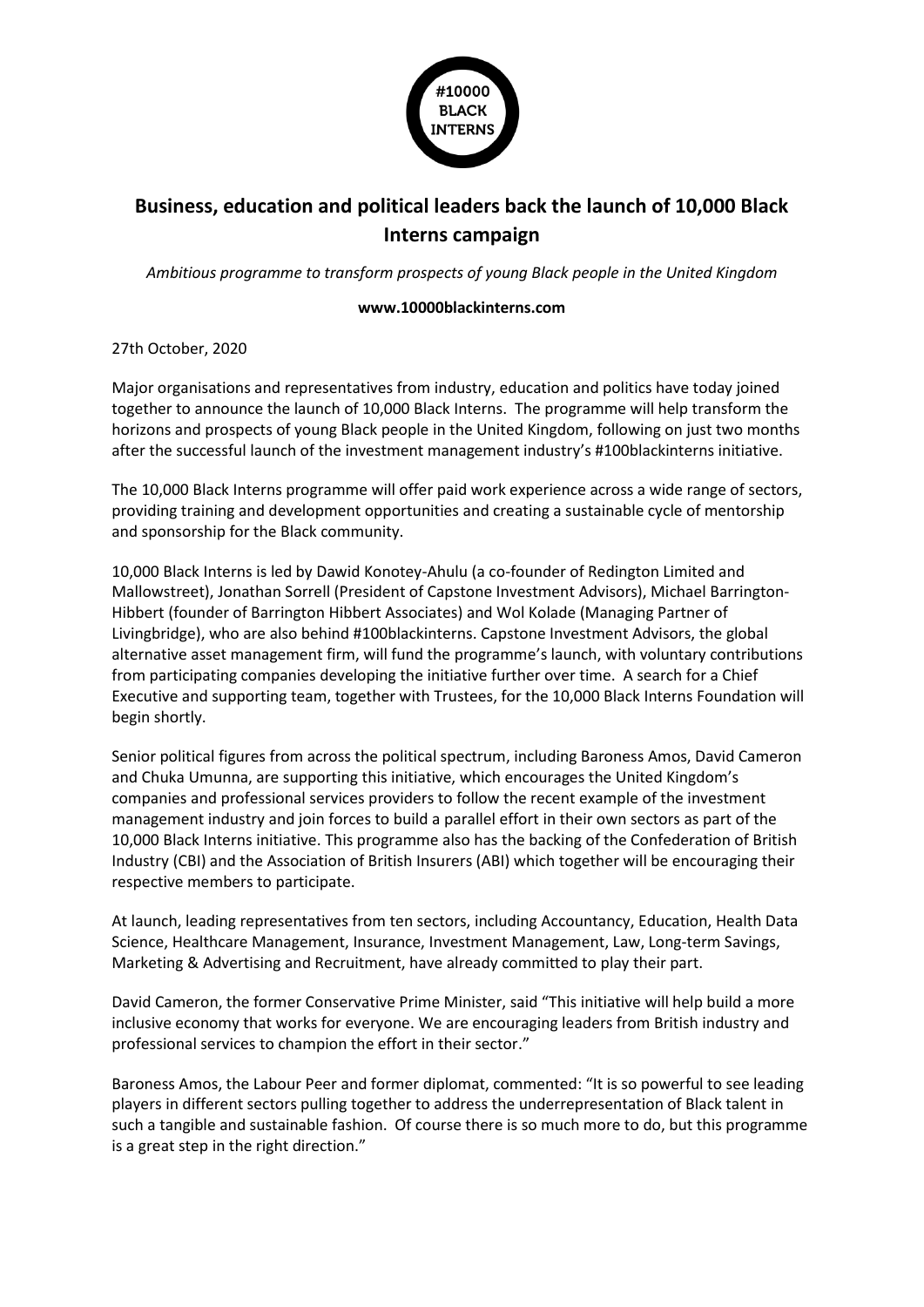

## **Business, education and political leaders back the launch of 10,000 Black Interns campaign**

*Ambitious programme to transform prospects of young Black people in the United Kingdom*

## **www.10000blackinterns.com**

27th October, 2020

Major organisations and representatives from industry, education and politics have today joined together to announce the launch of 10,000 Black Interns. The programme will help transform the horizons and prospects of young Black people in the United Kingdom, following on just two months after the successful launch of the investment management industry's #100blackinterns initiative.

The 10,000 Black Interns programme will offer paid work experience across a wide range of sectors, providing training and development opportunities and creating a sustainable cycle of mentorship and sponsorship for the Black community.

10,000 Black Interns is led by Dawid Konotey-Ahulu (a co-founder of Redington Limited and Mallowstreet), Jonathan Sorrell (President of Capstone Investment Advisors), Michael Barrington-Hibbert (founder of Barrington Hibbert Associates) and Wol Kolade (Managing Partner of Livingbridge), who are also behind #100blackinterns. Capstone Investment Advisors, the global alternative asset management firm, will fund the programme's launch, with voluntary contributions from participating companies developing the initiative further over time. A search for a Chief Executive and supporting team, together with Trustees, for the 10,000 Black Interns Foundation will begin shortly.

Senior political figures from across the political spectrum, including Baroness Amos, David Cameron and Chuka Umunna, are supporting this initiative, which encourages the United Kingdom's companies and professional services providers to follow the recent example of the investment management industry and join forces to build a parallel effort in their own sectors as part of the 10,000 Black Interns initiative. This programme also has the backing of the Confederation of British Industry (CBI) and the Association of British Insurers (ABI) which together will be encouraging their respective members to participate.

At launch, leading representatives from ten sectors, including Accountancy, Education, Health Data Science, Healthcare Management, Insurance, Investment Management, Law, Long-term Savings, Marketing & Advertising and Recruitment, have already committed to play their part.

David Cameron, the former Conservative Prime Minister, said "This initiative will help build a more inclusive economy that works for everyone. We are encouraging leaders from British industry and professional services to champion the effort in their sector."

Baroness Amos, the Labour Peer and former diplomat, commented: "It is so powerful to see leading players in different sectors pulling together to address the underrepresentation of Black talent in such a tangible and sustainable fashion. Of course there is so much more to do, but this programme is a great step in the right direction."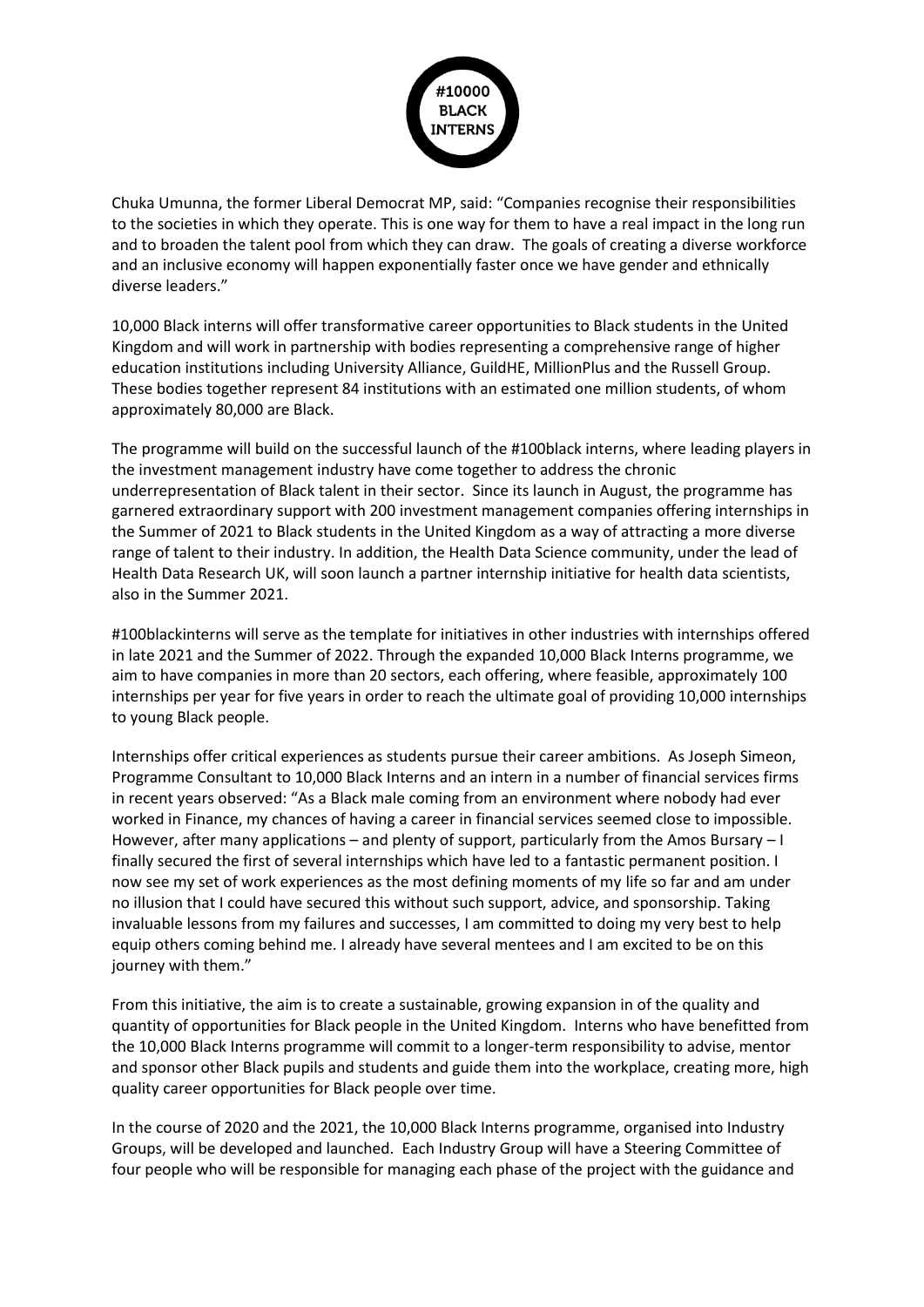

Chuka Umunna, the former Liberal Democrat MP, said: "Companies recognise their responsibilities to the societies in which they operate. This is one way for them to have a real impact in the long run and to broaden the talent pool from which they can draw. The goals of creating a diverse workforce and an inclusive economy will happen exponentially faster once we have gender and ethnically diverse leaders."

10,000 Black interns will offer transformative career opportunities to Black students in the United Kingdom and will work in partnership with bodies representing a comprehensive range of higher education institutions including University Alliance, GuildHE, MillionPlus and the Russell Group. These bodies together represent 84 institutions with an estimated one million students, of whom approximately 80,000 are Black.

The programme will build on the successful launch of the #100black interns, where leading players in the investment management industry have come together to address the chronic underrepresentation of Black talent in their sector. Since its launch in August, the programme has garnered extraordinary support with 200 investment management companies offering internships in the Summer of 2021 to Black students in the United Kingdom as a way of attracting a more diverse range of talent to their industry. In addition, the Health Data Science community, under the lead of Health Data Research UK, will soon launch a partner internship initiative for health data scientists, also in the Summer 2021.

#100blackinterns will serve as the template for initiatives in other industries with internships offered in late 2021 and the Summer of 2022. Through the expanded 10,000 Black Interns programme, we aim to have companies in more than 20 sectors, each offering, where feasible, approximately 100 internships per year for five years in order to reach the ultimate goal of providing 10,000 internships to young Black people.

Internships offer critical experiences as students pursue their career ambitions. As Joseph Simeon, Programme Consultant to 10,000 Black Interns and an intern in a number of financial services firms in recent years observed: "As a Black male coming from an environment where nobody had ever worked in Finance, my chances of having a career in financial services seemed close to impossible. However, after many applications – and plenty of support, particularly from the Amos Bursary – I finally secured the first of several internships which have led to a fantastic permanent position. I now see my set of work experiences as the most defining moments of my life so far and am under no illusion that I could have secured this without such support, advice, and sponsorship. Taking invaluable lessons from my failures and successes, I am committed to doing my very best to help equip others coming behind me. I already have several mentees and I am excited to be on this journey with them."

From this initiative, the aim is to create a sustainable, growing expansion in of the quality and quantity of opportunities for Black people in the United Kingdom. Interns who have benefitted from the 10,000 Black Interns programme will commit to a longer-term responsibility to advise, mentor and sponsor other Black pupils and students and guide them into the workplace, creating more, high quality career opportunities for Black people over time.

In the course of 2020 and the 2021, the 10,000 Black Interns programme, organised into Industry Groups, will be developed and launched. Each Industry Group will have a Steering Committee of four people who will be responsible for managing each phase of the project with the guidance and